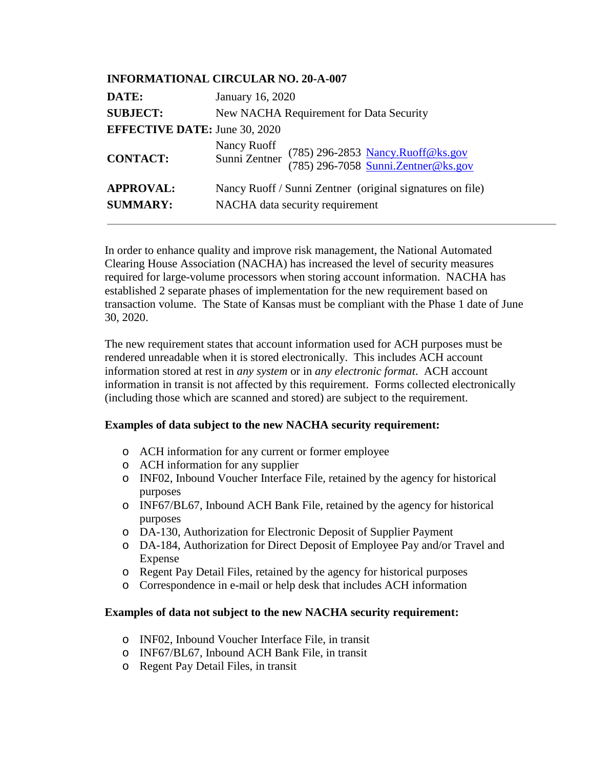| <b>INFORMATIONAL CIRCULAR NO. 20-A-007</b> |                                                                                                          |
|--------------------------------------------|----------------------------------------------------------------------------------------------------------|
| DATE:                                      | January 16, 2020                                                                                         |
| <b>SUBJECT:</b>                            | New NACHA Requirement for Data Security                                                                  |
| <b>EFFECTIVE DATE: June 30, 2020</b>       |                                                                                                          |
| <b>CONTACT:</b>                            | Nancy Ruoff<br>(785) 296-2853 Nancy.Ruoff@ks.gov<br>(785) 296-7058 Sunni.Zentner@ks.gov<br>Sunni Zentner |
| <b>APPROVAL:</b><br><b>SUMMARY:</b>        | Nancy Ruoff / Sunni Zentner (original signatures on file)<br>NACHA data security requirement             |

In order to enhance quality and improve risk management, the National Automated Clearing House Association (NACHA) has increased the level of security measures required for large-volume processors when storing account information. NACHA has established 2 separate phases of implementation for the new requirement based on transaction volume. The State of Kansas must be compliant with the Phase 1 date of June 30, 2020.

The new requirement states that account information used for ACH purposes must be rendered unreadable when it is stored electronically. This includes ACH account information stored at rest in *any system* or in *any electronic format*. ACH account information in transit is not affected by this requirement. Forms collected electronically (including those which are scanned and stored) are subject to the requirement.

## **Examples of data subject to the new NACHA security requirement:**

- o ACH information for any current or former employee
- o ACH information for any supplier
- o INF02, Inbound Voucher Interface File, retained by the agency for historical purposes
- o INF67/BL67, Inbound ACH Bank File, retained by the agency for historical purposes
- o DA-130, Authorization for Electronic Deposit of Supplier Payment
- o DA-184, Authorization for Direct Deposit of Employee Pay and/or Travel and Expense
- o Regent Pay Detail Files, retained by the agency for historical purposes
- o Correspondence in e-mail or help desk that includes ACH information

## **Examples of data not subject to the new NACHA security requirement:**

- o INF02, Inbound Voucher Interface File, in transit
- o INF67/BL67, Inbound ACH Bank File, in transit
- o Regent Pay Detail Files, in transit